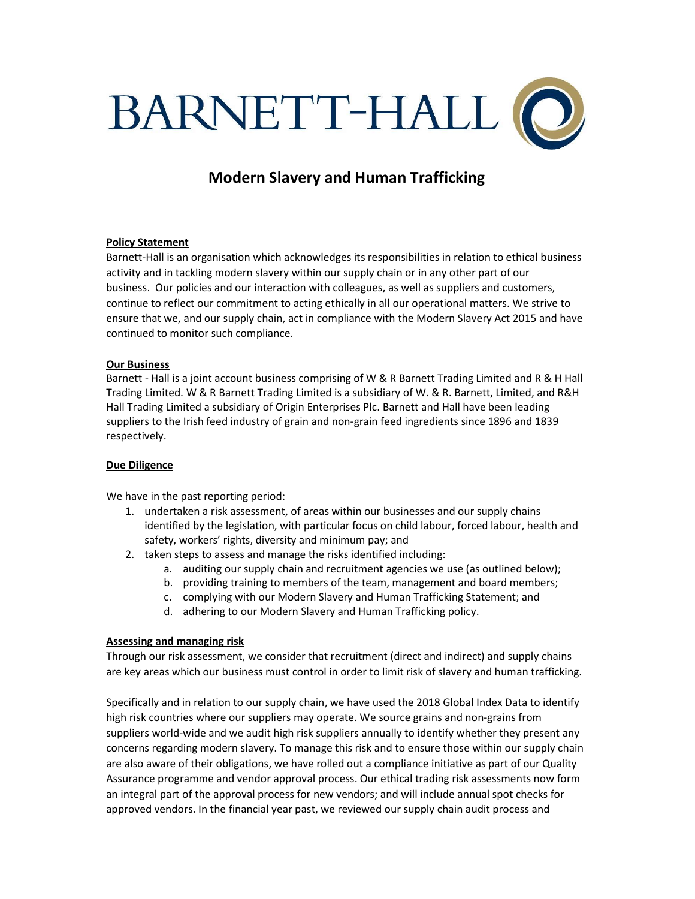

# Modern Slavery and Human Trafficking

## Policy Statement

Barnett-Hall is an organisation which acknowledges its responsibilities in relation to ethical business activity and in tackling modern slavery within our supply chain or in any other part of our business. Our policies and our interaction with colleagues, as well as suppliers and customers, continue to reflect our commitment to acting ethically in all our operational matters. We strive to ensure that we, and our supply chain, act in compliance with the Modern Slavery Act 2015 and have continued to monitor such compliance.

## Our Business

Barnett - Hall is a joint account business comprising of W & R Barnett Trading Limited and R & H Hall Trading Limited. W & R Barnett Trading Limited is a subsidiary of W. & R. Barnett, Limited, and R&H Hall Trading Limited a subsidiary of Origin Enterprises Plc. Barnett and Hall have been leading suppliers to the Irish feed industry of grain and non-grain feed ingredients since 1896 and 1839 respectively.

## Due Diligence

We have in the past reporting period:

- 1. undertaken a risk assessment, of areas within our businesses and our supply chains identified by the legislation, with particular focus on child labour, forced labour, health and safety, workers' rights, diversity and minimum pay; and
- 2. taken steps to assess and manage the risks identified including:
	- a. auditing our supply chain and recruitment agencies we use (as outlined below);
	- b. providing training to members of the team, management and board members;
	- c. complying with our Modern Slavery and Human Trafficking Statement; and
	- d. adhering to our Modern Slavery and Human Trafficking policy.

## Assessing and managing risk

Through our risk assessment, we consider that recruitment (direct and indirect) and supply chains are key areas which our business must control in order to limit risk of slavery and human trafficking.

Specifically and in relation to our supply chain, we have used the 2018 Global Index Data to identify high risk countries where our suppliers may operate. We source grains and non-grains from suppliers world-wide and we audit high risk suppliers annually to identify whether they present any concerns regarding modern slavery. To manage this risk and to ensure those within our supply chain are also aware of their obligations, we have rolled out a compliance initiative as part of our Quality Assurance programme and vendor approval process. Our ethical trading risk assessments now form an integral part of the approval process for new vendors; and will include annual spot checks for approved vendors. In the financial year past, we reviewed our supply chain audit process and